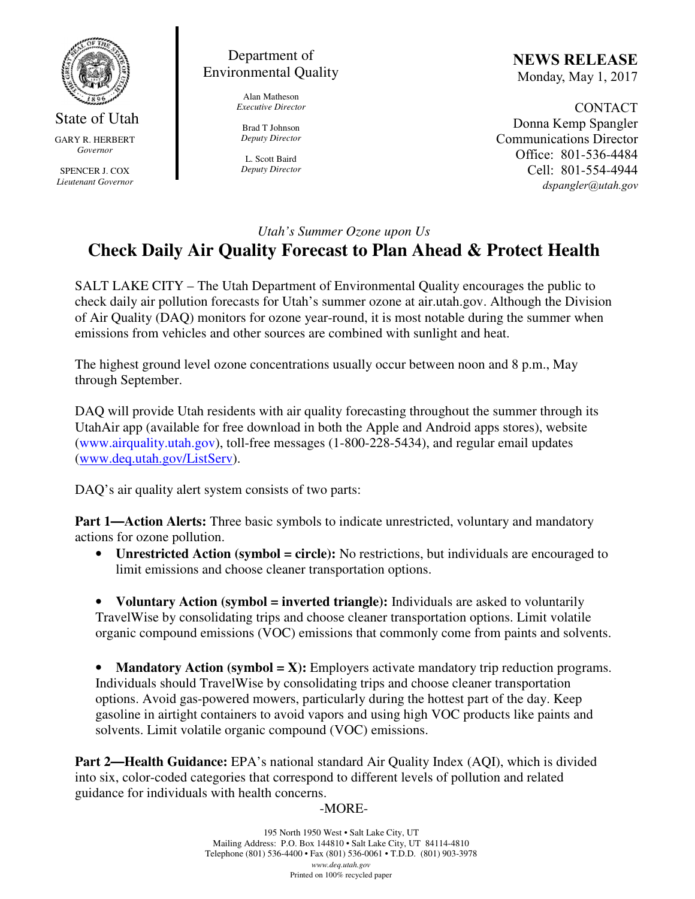

State of Utah GARY R. HERBERT *Governor* 

SPENCER J. COX *Lieutenant Governor* 

## Department of Environmental Quality

Alan Matheson *Executive Director* 

Brad T Johnson *Deputy Director* 

L. Scott Baird *Deputy Director* NEWS RELEASE Monday, May 1, 2017

CONTACT Donna Kemp Spangler Communications Director Office: 801-536-4484 Cell: 801-554-4944 dspangler@utah.gov

#### *Utah's Summer Ozone upon Us*

# **Check Daily Air Quality Forecast to Plan Ahead & Protect Health**

SALT LAKE CITY – The Utah Department of Environmental Quality encourages the public to check daily air pollution forecasts for Utah's summer ozone at air.utah.gov. Although the Division of Air Quality (DAQ) monitors for ozone year-round, it is most notable during the summer when emissions from vehicles and other sources are combined with sunlight and heat.

The highest ground level ozone concentrations usually occur between noon and 8 p.m., May through September.

DAQ will provide Utah residents with air quality forecasting throughout the summer through its UtahAir app (available for free download in both the Apple and Android apps stores), website (www.airquality.utah.gov), toll-free messages (1-800-228-5434), and regular email updates (www.deq.utah.gov/ListServ).

DAQ's air quality alert system consists of two parts:

**Part 1—Action Alerts:** Three basic symbols to indicate unrestricted, voluntary and mandatory actions for ozone pollution.

• **Unrestricted Action (symbol = circle):** No restrictions, but individuals are encouraged to limit emissions and choose cleaner transportation options.

• **Voluntary Action (symbol = inverted triangle):** Individuals are asked to voluntarily TravelWise by consolidating trips and choose cleaner transportation options. Limit volatile organic compound emissions (VOC) emissions that commonly come from paints and solvents.

• **Mandatory Action (symbol = X):** Employers activate mandatory trip reduction programs. Individuals should TravelWise by consolidating trips and choose cleaner transportation options. Avoid gas-powered mowers, particularly during the hottest part of the day. Keep gasoline in airtight containers to avoid vapors and using high VOC products like paints and solvents. Limit volatile organic compound (VOC) emissions.

**Part 2—Health Guidance:** EPA's national standard Air Quality Index (AQI), which is divided into six, color-coded categories that correspond to different levels of pollution and related guidance for individuals with health concerns.

### -MORE-

195 North 1950 West • Salt Lake City, UT Mailing Address: P.O. Box 144810 • Salt Lake City, UT 84114-4810 Telephone (801) 536-4400 • Fax (801) 536-0061 • T.D.D. (801) 903-3978 *www.deq.utah.gov*  Printed on 100% recycled paper